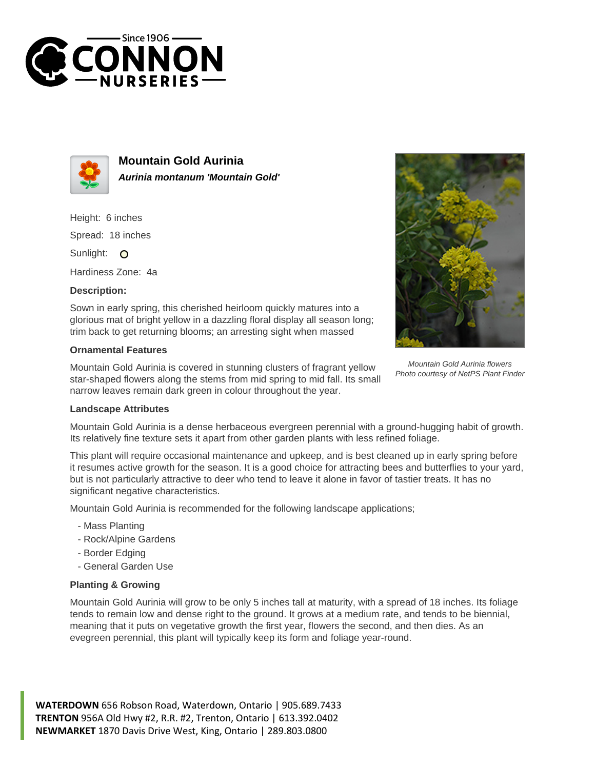



**Mountain Gold Aurinia Aurinia montanum 'Mountain Gold'**

Height: 6 inches Spread: 18 inches

Sunlight: O

Hardiness Zone: 4a

## **Description:**

Sown in early spring, this cherished heirloom quickly matures into a glorious mat of bright yellow in a dazzling floral display all season long; trim back to get returning blooms; an arresting sight when massed

## **Ornamental Features**

Mountain Gold Aurinia is covered in stunning clusters of fragrant yellow star-shaped flowers along the stems from mid spring to mid fall. Its small narrow leaves remain dark green in colour throughout the year.



Mountain Gold Aurinia flowers Photo courtesy of NetPS Plant Finder

## **Landscape Attributes**

Mountain Gold Aurinia is a dense herbaceous evergreen perennial with a ground-hugging habit of growth. Its relatively fine texture sets it apart from other garden plants with less refined foliage.

This plant will require occasional maintenance and upkeep, and is best cleaned up in early spring before it resumes active growth for the season. It is a good choice for attracting bees and butterflies to your yard, but is not particularly attractive to deer who tend to leave it alone in favor of tastier treats. It has no significant negative characteristics.

Mountain Gold Aurinia is recommended for the following landscape applications;

- Mass Planting
- Rock/Alpine Gardens
- Border Edging
- General Garden Use

## **Planting & Growing**

Mountain Gold Aurinia will grow to be only 5 inches tall at maturity, with a spread of 18 inches. Its foliage tends to remain low and dense right to the ground. It grows at a medium rate, and tends to be biennial, meaning that it puts on vegetative growth the first year, flowers the second, and then dies. As an evegreen perennial, this plant will typically keep its form and foliage year-round.

**WATERDOWN** 656 Robson Road, Waterdown, Ontario | 905.689.7433 **TRENTON** 956A Old Hwy #2, R.R. #2, Trenton, Ontario | 613.392.0402 **NEWMARKET** 1870 Davis Drive West, King, Ontario | 289.803.0800